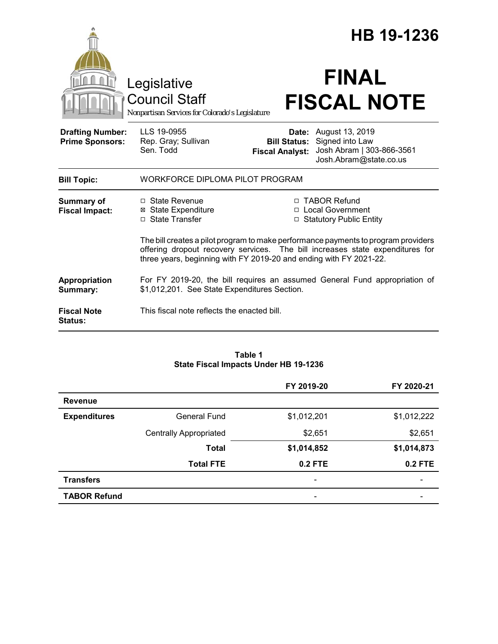|                                                   |                                                                                                                            |                                               | HB 19-1236                                                                                                                                                          |  |
|---------------------------------------------------|----------------------------------------------------------------------------------------------------------------------------|-----------------------------------------------|---------------------------------------------------------------------------------------------------------------------------------------------------------------------|--|
|                                                   | Legislative<br><b>Council Staff</b><br>Nonpartisan Services for Colorado's Legislature                                     |                                               | <b>FINAL</b><br><b>FISCAL NOTE</b>                                                                                                                                  |  |
| <b>Drafting Number:</b><br><b>Prime Sponsors:</b> | LLS 19-0955<br>Rep. Gray; Sullivan<br>Sen. Todd                                                                            | <b>Bill Status:</b><br><b>Fiscal Analyst:</b> | <b>Date:</b> August 13, 2019<br>Signed into Law<br>Josh Abram   303-866-3561<br>Josh.Abram@state.co.us                                                              |  |
| <b>Bill Topic:</b>                                | WORKFORCE DIPLOMA PILOT PROGRAM                                                                                            |                                               |                                                                                                                                                                     |  |
| <b>Summary of</b><br><b>Fiscal Impact:</b>        | $\Box$ State Revenue<br><b>⊠</b> State Expenditure<br>□ State Transfer                                                     |                                               | □ TABOR Refund<br>□ Local Government<br>□ Statutory Public Entity                                                                                                   |  |
|                                                   | three years, beginning with FY 2019-20 and ending with FY 2021-22.                                                         |                                               | The bill creates a pilot program to make performance payments to program providers<br>offering dropout recovery services. The bill increases state expenditures for |  |
| <b>Appropriation</b><br>Summary:                  | For FY 2019-20, the bill requires an assumed General Fund appropriation of<br>\$1,012,201. See State Expenditures Section. |                                               |                                                                                                                                                                     |  |
| <b>Fiscal Note</b><br><b>Status:</b>              | This fiscal note reflects the enacted bill.                                                                                |                                               |                                                                                                                                                                     |  |

#### **Table 1 State Fiscal Impacts Under HB 19-1236**

|                     |                               | FY 2019-20               | FY 2020-21               |
|---------------------|-------------------------------|--------------------------|--------------------------|
| <b>Revenue</b>      |                               |                          |                          |
| <b>Expenditures</b> | <b>General Fund</b>           | \$1,012,201              | \$1,012,222              |
|                     | <b>Centrally Appropriated</b> | \$2,651                  | \$2,651                  |
|                     | <b>Total</b>                  | \$1,014,852              | \$1,014,873              |
|                     | <b>Total FTE</b>              | <b>0.2 FTE</b>           | 0.2 FTE                  |
| <b>Transfers</b>    |                               | $\overline{\phantom{a}}$ | $\overline{\phantom{0}}$ |
| <b>TABOR Refund</b> |                               | -                        |                          |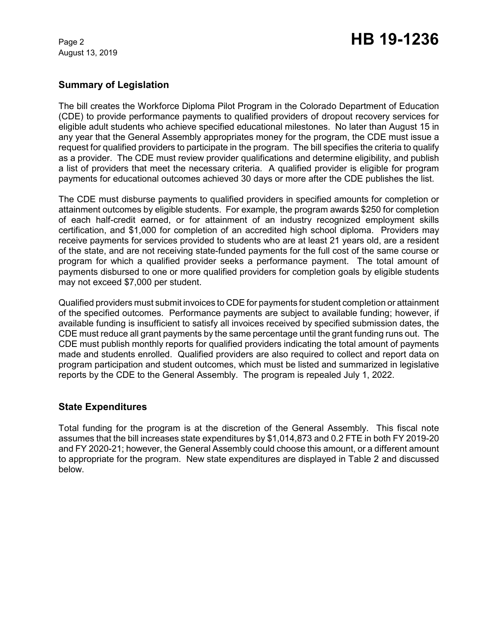August 13, 2019

# **Summary of Legislation**

The bill creates the Workforce Diploma Pilot Program in the Colorado Department of Education (CDE) to provide performance payments to qualified providers of dropout recovery services for eligible adult students who achieve specified educational milestones. No later than August 15 in any year that the General Assembly appropriates money for the program, the CDE must issue a request for qualified providers to participate in the program. The bill specifies the criteria to qualify as a provider. The CDE must review provider qualifications and determine eligibility, and publish a list of providers that meet the necessary criteria. A qualified provider is eligible for program payments for educational outcomes achieved 30 days or more after the CDE publishes the list.

The CDE must disburse payments to qualified providers in specified amounts for completion or attainment outcomes by eligible students. For example, the program awards \$250 for completion of each half-credit earned, or for attainment of an industry recognized employment skills certification, and \$1,000 for completion of an accredited high school diploma. Providers may receive payments for services provided to students who are at least 21 years old, are a resident of the state, and are not receiving state-funded payments for the full cost of the same course or program for which a qualified provider seeks a performance payment. The total amount of payments disbursed to one or more qualified providers for completion goals by eligible students may not exceed \$7,000 per student.

Qualified providers must submit invoices to CDE for payments for student completion or attainment of the specified outcomes. Performance payments are subject to available funding; however, if available funding is insufficient to satisfy all invoices received by specified submission dates, the CDE must reduce all grant payments by the same percentage until the grant funding runs out. The CDE must publish monthly reports for qualified providers indicating the total amount of payments made and students enrolled. Qualified providers are also required to collect and report data on program participation and student outcomes, which must be listed and summarized in legislative reports by the CDE to the General Assembly. The program is repealed July 1, 2022.

### **State Expenditures**

Total funding for the program is at the discretion of the General Assembly. This fiscal note assumes that the bill increases state expenditures by \$1,014,873 and 0.2 FTE in both FY 2019-20 and FY 2020-21; however, the General Assembly could choose this amount, or a different amount to appropriate for the program. New state expenditures are displayed in Table 2 and discussed below.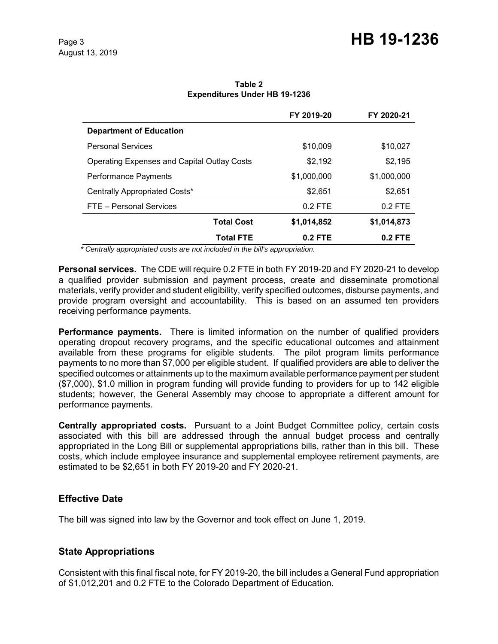|                                             | FY 2019-20  | FY 2020-21  |
|---------------------------------------------|-------------|-------------|
| <b>Department of Education</b>              |             |             |
| <b>Personal Services</b>                    | \$10,009    | \$10,027    |
| Operating Expenses and Capital Outlay Costs | \$2,192     | \$2,195     |
| Performance Payments                        | \$1,000,000 | \$1,000,000 |
| Centrally Appropriated Costs*               | \$2.651     | \$2.651     |
| FTE - Personal Services                     | $0.2$ FTE   | $0.2$ FTE   |
| <b>Total Cost</b>                           | \$1,014,852 | \$1,014,873 |
| <b>Total FTE</b>                            | $0.2$ FTE   | $0.2$ FTE   |

**Table 2 Expenditures Under HB 19-1236**

 *\* Centrally appropriated costs are not included in the bill's appropriation.*

**Personal services.** The CDE will require 0.2 FTE in both FY 2019-20 and FY 2020-21 to develop a qualified provider submission and payment process, create and disseminate promotional materials, verify provider and student eligibility, verify specified outcomes, disburse payments, and provide program oversight and accountability. This is based on an assumed ten providers receiving performance payments.

**Performance payments.** There is limited information on the number of qualified providers operating dropout recovery programs, and the specific educational outcomes and attainment available from these programs for eligible students. The pilot program limits performance payments to no more than \$7,000 per eligible student. If qualified providers are able to deliver the specified outcomes or attainments up to the maximum available performance payment per student (\$7,000), \$1.0 million in program funding will provide funding to providers for up to 142 eligible students; however, the General Assembly may choose to appropriate a different amount for performance payments.

**Centrally appropriated costs.** Pursuant to a Joint Budget Committee policy, certain costs associated with this bill are addressed through the annual budget process and centrally appropriated in the Long Bill or supplemental appropriations bills, rather than in this bill. These costs, which include employee insurance and supplemental employee retirement payments, are estimated to be \$2,651 in both FY 2019-20 and FY 2020-21.

### **Effective Date**

The bill was signed into law by the Governor and took effect on June 1, 2019.

# **State Appropriations**

Consistent with this final fiscal note, for FY 2019-20, the bill includes a General Fund appropriation of \$1,012,201 and 0.2 FTE to the Colorado Department of Education.